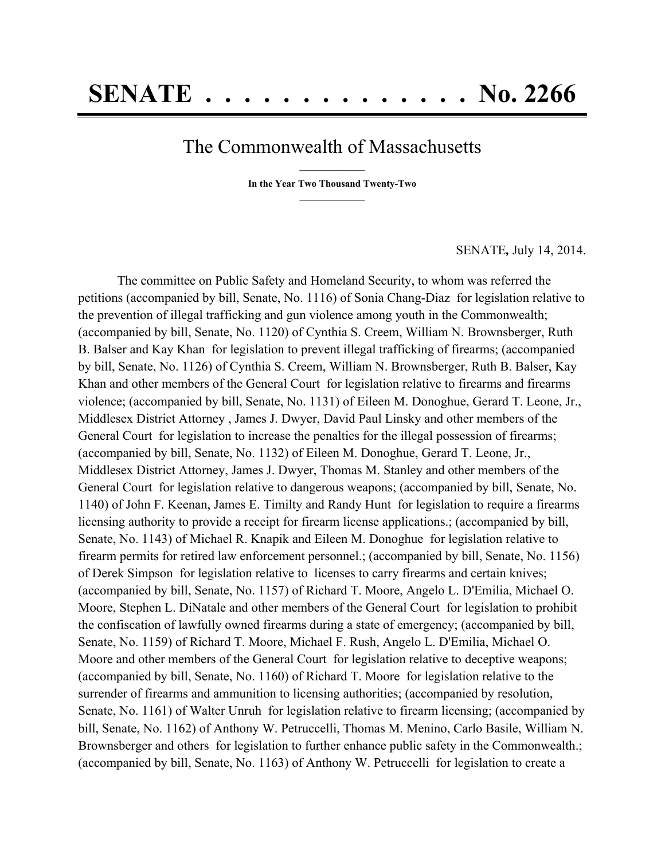## The Commonwealth of Massachusetts

**\_\_\_\_\_\_\_\_\_\_\_\_\_\_\_ In the Year Two Thousand Twenty-Two \_\_\_\_\_\_\_\_\_\_\_\_\_\_\_**

SENATE*,* July 14, 2014.

The committee on Public Safety and Homeland Security, to whom was referred the petitions (accompanied by bill, Senate, No. 1116) of Sonia Chang-Diaz for legislation relative to the prevention of illegal trafficking and gun violence among youth in the Commonwealth; (accompanied by bill, Senate, No. 1120) of Cynthia S. Creem, William N. Brownsberger, Ruth B. Balser and Kay Khan for legislation to prevent illegal trafficking of firearms; (accompanied by bill, Senate, No. 1126) of Cynthia S. Creem, William N. Brownsberger, Ruth B. Balser, Kay Khan and other members of the General Court for legislation relative to firearms and firearms violence; (accompanied by bill, Senate, No. 1131) of Eileen M. Donoghue, Gerard T. Leone, Jr., Middlesex District Attorney , James J. Dwyer, David Paul Linsky and other members of the General Court for legislation to increase the penalties for the illegal possession of firearms; (accompanied by bill, Senate, No. 1132) of Eileen M. Donoghue, Gerard T. Leone, Jr., Middlesex District Attorney, James J. Dwyer, Thomas M. Stanley and other members of the General Court for legislation relative to dangerous weapons; (accompanied by bill, Senate, No. 1140) of John F. Keenan, James E. Timilty and Randy Hunt for legislation to require a firearms licensing authority to provide a receipt for firearm license applications.; (accompanied by bill, Senate, No. 1143) of Michael R. Knapik and Eileen M. Donoghue for legislation relative to firearm permits for retired law enforcement personnel.; (accompanied by bill, Senate, No. 1156) of Derek Simpson for legislation relative to licenses to carry firearms and certain knives; (accompanied by bill, Senate, No. 1157) of Richard T. Moore, Angelo L. D'Emilia, Michael O. Moore, Stephen L. DiNatale and other members of the General Court for legislation to prohibit the confiscation of lawfully owned firearms during a state of emergency; (accompanied by bill, Senate, No. 1159) of Richard T. Moore, Michael F. Rush, Angelo L. D'Emilia, Michael O. Moore and other members of the General Court for legislation relative to deceptive weapons; (accompanied by bill, Senate, No. 1160) of Richard T. Moore for legislation relative to the surrender of firearms and ammunition to licensing authorities; (accompanied by resolution, Senate, No. 1161) of Walter Unruh for legislation relative to firearm licensing; (accompanied by bill, Senate, No. 1162) of Anthony W. Petruccelli, Thomas M. Menino, Carlo Basile, William N. Brownsberger and others for legislation to further enhance public safety in the Commonwealth.; (accompanied by bill, Senate, No. 1163) of Anthony W. Petruccelli for legislation to create a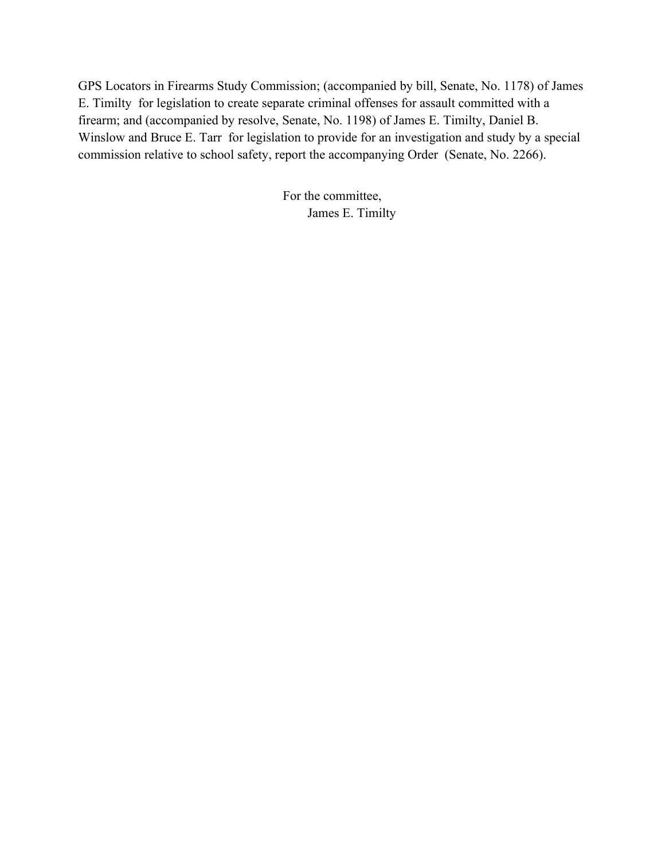GPS Locators in Firearms Study Commission; (accompanied by bill, Senate, No. 1178) of James E. Timilty for legislation to create separate criminal offenses for assault committed with a firearm; and (accompanied by resolve, Senate, No. 1198) of James E. Timilty, Daniel B. Winslow and Bruce E. Tarr for legislation to provide for an investigation and study by a special commission relative to school safety, report the accompanying Order (Senate, No. 2266).

> For the committee, James E. Timilty